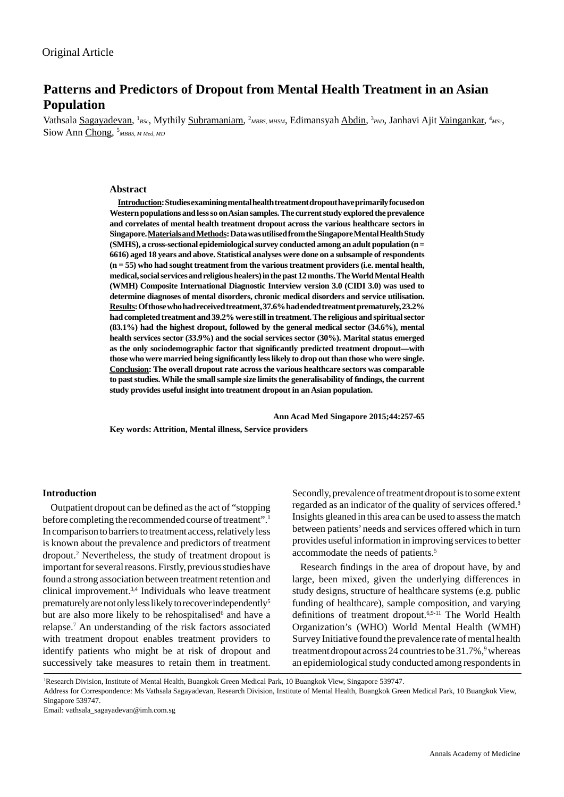# **Patterns and Predictors of Dropout from Mental Health Treatment in an Asian Population**

Vathsala Sagayadevan, <sup>1</sup>BSc, Mythily Subramaniam, <sup>2</sup>MBBS, MHSM, Edimansyah Abdin, <sup>3</sup>PhD, Janhavi Ajit <u>Vaingankar</u>, <sup>4</sup>MSc, Siow Ann Chong, <sup>5</sup>MBBS, M Med, MD

#### **Abstract**

**Introduction: Studies examining mental health treatment dropout have primarily focused on Western populations and less so on Asian samples. The current study explored the prevalence and correlates of mental health treatment dropout across the various healthcare sectors in Singapore. Materials and Methods: Data was utilised from the Singapore Mental Health Study (SMHS), a cross-sectional epidemiological survey conducted among an adult population (n = 6616) aged 18 years and above. Statistical analyses were done on a subsample of respondents (n = 55) who had sought treatment from the various treatment providers (i.e. mental health, medical, social services and religious healers) in the past 12 months. The World Mental Health (WMH) Composite International Diagnostic Interview version 3.0 (CIDI 3.0) was used to determine diagnoses of mental disorders, chronic medical disorders and service utilisation. Results: Of those who had received treatment, 37.6% had ended treatment prematurely, 23.2% had completed treatment and 39.2% were still in treatment. The religious and spiritual sector (83.1%) had the highest dropout, followed by the general medical sector (34.6%), mental health services sector (33.9%) and the social services sector (30%). Marital status emerged**  as the only sociodemographic factor that significantly predicted treatment dropout—with **those who were married being signifi cantly less likely to drop out than those who were single. Conclusion: The overall dropout rate across the various healthcare sectors was comparable to past studies. While the small sample size limits the generalisability of fi ndings, the current study provides useful insight into treatment dropout in an Asian population.** 

 **Ann Acad Med Singapore 2015;44:257-65**

**Key words: Attrition, Mental illness, Service providers**

#### **Introduction**

Outpatient dropout can be defined as the act of "stopping" before completing the recommended course of treatment".<sup>1</sup> In comparison to barriers to treatment access, relatively less is known about the prevalence and predictors of treatment dropout.2 Nevertheless, the study of treatment dropout is important for several reasons. Firstly, previous studies have found a strong association between treatment retention and clinical improvement.3,4 Individuals who leave treatment prematurely are not only less likely to recover independently5 but are also more likely to be rehospitalised<sup>6</sup> and have a relapse.7 An understanding of the risk factors associated with treatment dropout enables treatment providers to identify patients who might be at risk of dropout and successively take measures to retain them in treatment.

Secondly, prevalence of treatment dropout is to some extent regarded as an indicator of the quality of services offered.8 Insights gleaned in this area can be used to assess the match between patients' needs and services offered which in turn provides useful information in improving services to better accommodate the needs of patients.<sup>5</sup>

Research findings in the area of dropout have, by and large, been mixed, given the underlying differences in study designs, structure of healthcare systems (e.g. public funding of healthcare), sample composition, and varying definitions of treatment dropout.<sup>6,9-11</sup> The World Health Organization's (WHO) World Mental Health (WMH) Survey Initiative found the prevalence rate of mental health treatment dropout across 24 countries to be 31.7%,<sup>9</sup> whereas an epidemiological study conducted among respondents in

1 Research Division, Institute of Mental Health, Buangkok Green Medical Park, 10 Buangkok View, Singapore 539747.

Address for Correspondence: Ms Vathsala Sagayadevan, Research Division, Institute of Mental Health, Buangkok Green Medical Park, 10 Buangkok View, Singapore 539747.

Email: vathsala\_sagayadevan@imh.com.sg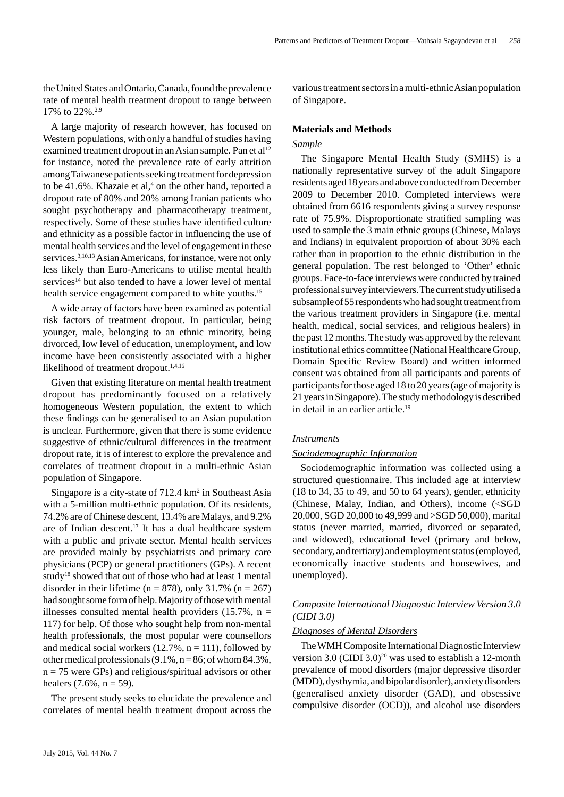the United States and Ontario, Canada, found the prevalence rate of mental health treatment dropout to range between 17% to 22%.2,9

A large majority of research however, has focused on Western populations, with only a handful of studies having examined treatment dropout in an Asian sample. Pan et al<sup>12</sup> for instance, noted the prevalence rate of early attrition among Taiwanese patients seeking treatment for depression to be 41.6%. Khazaie et al,<sup>4</sup> on the other hand, reported a dropout rate of 80% and 20% among Iranian patients who sought psychotherapy and pharmacotherapy treatment, respectively. Some of these studies have identified culture and ethnicity as a possible factor in influencing the use of mental health services and the level of engagement in these services.<sup>3,10,13</sup> Asian Americans, for instance, were not only less likely than Euro-Americans to utilise mental health services<sup>14</sup> but also tended to have a lower level of mental health service engagement compared to white youths.<sup>15</sup>

A wide array of factors have been examined as potential risk factors of treatment dropout. In particular, being younger, male, belonging to an ethnic minority, being divorced, low level of education, unemployment, and low income have been consistently associated with a higher likelihood of treatment dropout.<sup>1,4,16</sup>

Given that existing literature on mental health treatment dropout has predominantly focused on a relatively homogeneous Western population, the extent to which these findings can be generalised to an Asian population is unclear. Furthermore, given that there is some evidence suggestive of ethnic/cultural differences in the treatment dropout rate, it is of interest to explore the prevalence and correlates of treatment dropout in a multi-ethnic Asian population of Singapore.

Singapore is a city-state of  $712.4 \text{ km}^2$  in Southeast Asia with a 5-million multi-ethnic population. Of its residents, 74.2% are of Chinese descent, 13.4% are Malays, and 9.2% are of Indian descent.<sup>17</sup> It has a dual healthcare system with a public and private sector. Mental health services are provided mainly by psychiatrists and primary care physicians (PCP) or general practitioners (GPs). A recent study18 showed that out of those who had at least 1 mental disorder in their lifetime ( $n = 878$ ), only 31.7% ( $n = 267$ ) had sought some form of help. Majority of those with mental illnesses consulted mental health providers  $(15.7\% , n =$ 117) for help. Of those who sought help from non-mental health professionals, the most popular were counsellors and medical social workers  $(12.7\%, n = 111)$ , followed by other medical professionals  $(9.1\%, n = 86;$  of whom  $84.3\%$ ,  $n = 75$  were GPs) and religious/spiritual advisors or other healers  $(7.6\%, n = 59)$ .

The present study seeks to elucidate the prevalence and correlates of mental health treatment dropout across the

various treatment sectors in a multi-ethnic Asian population of Singapore.

## **Materials and Methods**

#### *Sample*

The Singapore Mental Health Study (SMHS) is a nationally representative survey of the adult Singapore residents aged 18 years and above conducted from December 2009 to December 2010. Completed interviews were obtained from 6616 respondents giving a survey response rate of 75.9%. Disproportionate stratified sampling was used to sample the 3 main ethnic groups (Chinese, Malays and Indians) in equivalent proportion of about 30% each rather than in proportion to the ethnic distribution in the general population. The rest belonged to 'Other' ethnic groups. Face-to-face interviews were conducted by trained professional survey interviewers. The current study utilised a subsample of 55 respondents who had sought treatment from the various treatment providers in Singapore (i.e. mental health, medical, social services, and religious healers) in the past 12 months. The study was approved by the relevant institutional ethics committee (National Healthcare Group, Domain Specific Review Board) and written informed consent was obtained from all participants and parents of participants for those aged 18 to 20 years (age of majority is 21 years in Singapore). The study methodology is described in detail in an earlier article.<sup>19</sup>

#### *Instruments*

#### *Sociodemographic Information*

Sociodemographic information was collected using a structured questionnaire. This included age at interview (18 to 34, 35 to 49, and 50 to 64 years), gender, ethnicity (Chinese, Malay, Indian, and Others), income (<SGD 20,000, SGD 20,000 to 49,999 and >SGD 50,000), marital status (never married, married, divorced or separated, and widowed), educational level (primary and below, secondary, and tertiary) and employment status (employed, economically inactive students and housewives, and unemployed).

## *Composite International Diagnostic Interview Version 3.0 (CIDI 3.0)*

#### *Diagnoses of Mental Disorders*

The WMH Composite International Diagnostic Interview version 3.0 (CIDI 3.0)<sup>20</sup> was used to establish a 12-month prevalence of mood disorders (major depressive disorder (MDD), dysthymia, and bipolar disorder), anxiety disorders (generalised anxiety disorder (GAD), and obsessive compulsive disorder (OCD)), and alcohol use disorders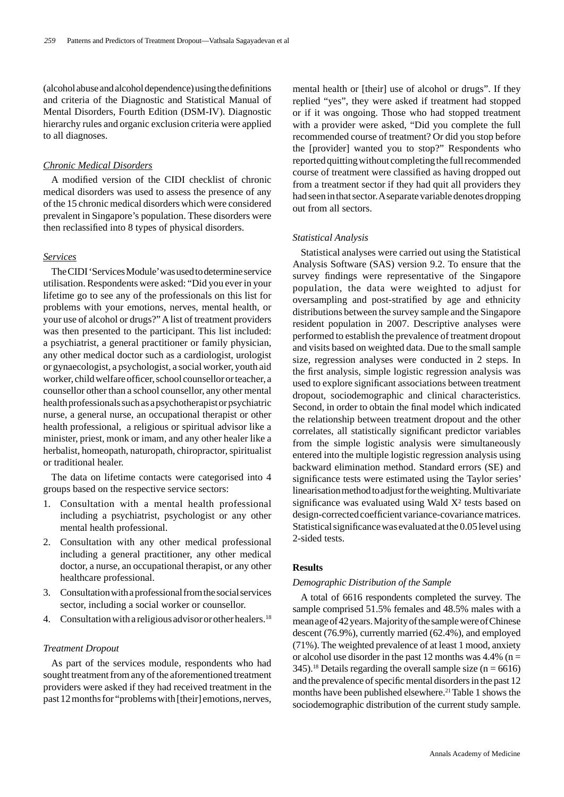(alcohol abuse and alcohol dependence) using the definitions and criteria of the Diagnostic and Statistical Manual of Mental Disorders, Fourth Edition (DSM-IV). Diagnostic hierarchy rules and organic exclusion criteria were applied to all diagnoses.

## *Chronic Medical Disorders*

A modified version of the CIDI checklist of chronic medical disorders was used to assess the presence of any of the 15 chronic medical disorders which were considered prevalent in Singapore's population. These disorders were then reclassified into 8 types of physical disorders.

#### *Services*

The CIDI 'Services Module' was used to determine service utilisation. Respondents were asked: "Did you ever in your lifetime go to see any of the professionals on this list for problems with your emotions, nerves, mental health, or your use of alcohol or drugs?" A list of treatment providers was then presented to the participant. This list included: a psychiatrist, a general practitioner or family physician, any other medical doctor such as a cardiologist, urologist or gynaecologist, a psychologist, a social worker, youth aid worker, child welfare officer, school counsellor or teacher, a counsellor other than a school counsellor, any other mental health professionals such as a psychotherapist or psychiatric nurse, a general nurse, an occupational therapist or other health professional, a religious or spiritual advisor like a minister, priest, monk or imam, and any other healer like a herbalist, homeopath, naturopath, chiropractor, spiritualist or traditional healer.

The data on lifetime contacts were categorised into 4 groups based on the respective service sectors:

- 1. Consultation with a mental health professional including a psychiatrist, psychologist or any other mental health professional.
- 2. Consultation with any other medical professional including a general practitioner, any other medical doctor, a nurse, an occupational therapist, or any other healthcare professional.
- 3. Consultation with a professional from the social services sector, including a social worker or counsellor.
- 4. Consultation with a religious advisor or other healers.<sup>18</sup>

## *Treatment Dropout*

As part of the services module, respondents who had sought treatment from any of the aforementioned treatment providers were asked if they had received treatment in the past 12 months for "problems with [their] emotions, nerves,

mental health or [their] use of alcohol or drugs". If they replied "yes", they were asked if treatment had stopped or if it was ongoing. Those who had stopped treatment with a provider were asked, "Did you complete the full recommended course of treatment? Or did you stop before the [provider] wanted you to stop?" Respondents who reported quitting without completing the full recommended course of treatment were classified as having dropped out from a treatment sector if they had quit all providers they had seen in that sector. A separate variable denotes dropping out from all sectors.

#### *Statistical Analysis*

Statistical analyses were carried out using the Statistical Analysis Software (SAS) version 9.2. To ensure that the survey findings were representative of the Singapore population, the data were weighted to adjust for oversampling and post-stratified by age and ethnicity distributions between the survey sample and the Singapore resident population in 2007. Descriptive analyses were performed to establish the prevalence of treatment dropout and visits based on weighted data. Due to the small sample size, regression analyses were conducted in 2 steps. In the first analysis, simple logistic regression analysis was used to explore significant associations between treatment dropout, sociodemographic and clinical characteristics. Second, in order to obtain the final model which indicated the relationship between treatment dropout and the other correlates, all statistically significant predictor variables from the simple logistic analysis were simultaneously entered into the multiple logistic regression analysis using backward elimination method. Standard errors (SE) and significance tests were estimated using the Taylor series' linearisation method to adjust for the weighting. Multivariate significance was evaluated using Wald  $X<sup>2</sup>$  tests based on design-corrected coefficient variance-covariance matrices. Statistical significance was evaluated at the 0.05 level using 2-sided tests.

#### **Results**

#### *Demographic Distribution of the Sample*

A total of 6616 respondents completed the survey. The sample comprised 51.5% females and 48.5% males with a mean age of 42 years. Majority of the sample were of Chinese descent (76.9%), currently married (62.4%), and employed (71%). The weighted prevalence of at least 1 mood, anxiety or alcohol use disorder in the past 12 months was  $4.4\%$  (n = 345).<sup>18</sup> Details regarding the overall sample size ( $n = 6616$ ) and the prevalence of specific mental disorders in the past 12 months have been published elsewhere.<sup>21</sup> Table 1 shows the sociodemographic distribution of the current study sample.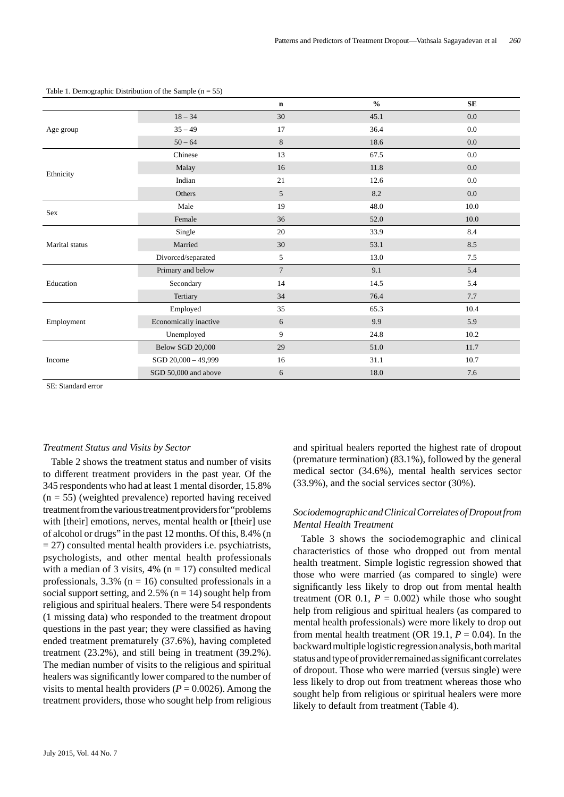|                |                       | $\mathbf n$    | $\frac{0}{0}$ | <b>SE</b> |
|----------------|-----------------------|----------------|---------------|-----------|
|                | $18 - 34$             | 30             | 45.1          | $0.0\,$   |
| Age group      | $35 - 49$             | 17             | 36.4          | 0.0       |
|                | $50 - 64$             | $\,8\,$        | 18.6          | 0.0       |
|                | Chinese               | 13             | 67.5          | 0.0       |
|                | Malay                 | 16             | 11.8          | 0.0       |
| Ethnicity      | Indian                | 21             | 12.6          | 0.0       |
|                | Others                | 5              | 8.2           | $0.0\,$   |
|                | Male                  | 19             | 48.0          | 10.0      |
| Sex            | Female                | 36             | 52.0          | $10.0\,$  |
|                | Single                | 20             | 33.9          | 8.4       |
| Marital status | Married               | 30             | 53.1          | 8.5       |
|                | Divorced/separated    | 5              | 13.0          | 7.5       |
|                | Primary and below     | $\overline{7}$ | 9.1           | 5.4       |
| Education      | Secondary             | 14             | 14.5          | 5.4       |
|                | Tertiary              | 34             | 76.4          | $7.7\,$   |
|                | Employed              | 35             | 65.3          | 10.4      |
| Employment     | Economically inactive | 6              | 9.9           | 5.9       |
|                | Unemployed            | 9              | 24.8          | 10.2      |
|                | Below SGD 20,000      | 29             | 51.0          | 11.7      |
| Income         | SGD 20,000 - 49,999   | 16             | 31.1          | 10.7      |
|                | SGD 50,000 and above  | 6              | 18.0          | 7.6       |

Table 1. Demographic Distribution of the Sample  $(n = 55)$ 

SE: Standard error

#### *Treatment Status and Visits by Sector*

Table 2 shows the treatment status and number of visits to different treatment providers in the past year. Of the 345 respondents who had at least 1 mental disorder, 15.8%  $(n = 55)$  (weighted prevalence) reported having received treatment from the various treatment providers for "problems with [their] emotions, nerves, mental health or [their] use of alcohol or drugs" in the past 12 months. Of this, 8.4% (n  $= 27$ ) consulted mental health providers i.e. psychiatrists, psychologists, and other mental health professionals with a median of 3 visits,  $4\%$  (n = 17) consulted medical professionals,  $3.3\%$  (n = 16) consulted professionals in a social support setting, and  $2.5\%$  (n = 14) sought help from religious and spiritual healers. There were 54 respondents (1 missing data) who responded to the treatment dropout questions in the past year; they were classified as having ended treatment prematurely (37.6%), having completed treatment (23.2%), and still being in treatment (39.2%). The median number of visits to the religious and spiritual healers was significantly lower compared to the number of visits to mental health providers ( $P = 0.0026$ ). Among the treatment providers, those who sought help from religious

and spiritual healers reported the highest rate of dropout (premature termination) (83.1%), followed by the general medical sector (34.6%), mental health services sector (33.9%), and the social services sector (30%).

# *Sociodemographic and Clinical Correlates of Dropout from Mental Health Treatment*

Table 3 shows the sociodemographic and clinical characteristics of those who dropped out from mental health treatment. Simple logistic regression showed that those who were married (as compared to single) were significantly less likely to drop out from mental health treatment (OR  $0.1$ ,  $P = 0.002$ ) while those who sought help from religious and spiritual healers (as compared to mental health professionals) were more likely to drop out from mental health treatment (OR 19.1,  $P = 0.04$ ). In the backward multiple logistic regression analysis, both marital status and type of provider remained as significant correlates of dropout. Those who were married (versus single) were less likely to drop out from treatment whereas those who sought help from religious or spiritual healers were more likely to default from treatment (Table 4).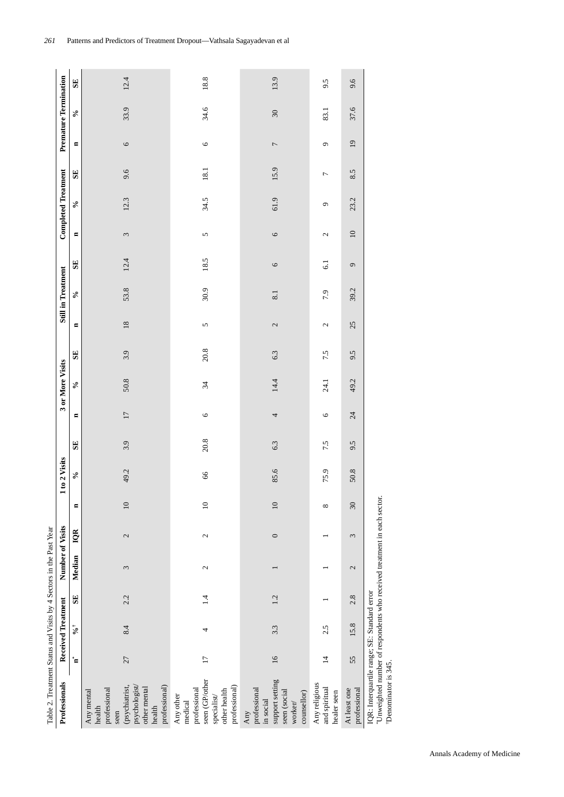Table 2. Treatment Status and Visits by 4 Sectors in the Past Year Table 2. Treatment Status and Visits by 4 Sectors in the Past Year

| Professionals                                                                                                                                   |                 | <b>Received Treatment</b> |     | Number of Visits |              |                 | to 2 Visits |              |                | 3 or More Visits |          |                | Still in Treatment |                 |                       | <b>Completed Treatment</b> |                |                 | <b>Premature Termination</b> |      |
|-------------------------------------------------------------------------------------------------------------------------------------------------|-----------------|---------------------------|-----|------------------|--------------|-----------------|-------------|--------------|----------------|------------------|----------|----------------|--------------------|-----------------|-----------------------|----------------------------|----------------|-----------------|------------------------------|------|
|                                                                                                                                                 | ້¤              | $\mathcal{S}^+$           | SE  | Median           | IQR          | $\blacksquare$  | $\delta$    | $\mathbf{S}$ | $\blacksquare$ | $\delta$         | SE       | $\blacksquare$ | $\delta$           | SE              | $\blacksquare$        | $\delta$                   | SE             | $\blacksquare$  | $\delta$                     | SE   |
| professional)<br>psychologist<br>(psychiatrist,<br>other mental<br>professional<br>Any mental<br>health<br>health<br>seen                       | 27              | 8.4                       | 2.2 | 3                | 2            | $10$            | 49.2        | 3.9          | 17             | 50.8             | 3.9      | 18             | 53.8               | 12.4            | $\tilde{\phantom{a}}$ | 12.3                       | 9.6            | $\circ$         | 33.9                         | 12.4 |
| seen (GP/other<br>professional)<br>professional<br>other health<br>Any other<br>specialist/<br>medical                                          | $\overline{17}$ | 4                         | 1.4 | $\mathcal{L}$    | $\mathbf{c}$ | $\approx$       | 66          | $20.8\,$     | $\circ$        | 34               | $20.8\,$ | 5              | 30.9               | 18.5            | 5                     | 34.5                       | 18.1           | $\circ$         | 34.6                         | 18.8 |
| support setting<br>professional<br>seen (social<br>counsellor)<br>in social<br>worker/<br>Any                                                   | $\overline{16}$ | 3.3                       | 1.2 |                  | $\circ$      | $\overline{10}$ | 85.6        | 6.3          | 4              | 14.4             | 6.3      | $\mathcal{L}$  | 8.1                | $\circ$         | $\circ$               | 61.9                       | 15.9           | $\overline{ }$  | $\mathfrak{D}$               | 13.9 |
| Any religious<br>and spiritual<br>healer seen                                                                                                   | $\overline{4}$  | 2.5                       |     |                  |              | $\infty$        | 75.9        | 7.5          | $\circ$        | 24.1             | 7.5      | 2              | 7.9                | $\overline{61}$ | 2                     | Q                          | $\overline{ }$ | G               | 83.1                         | 9.5  |
| At least one<br>professional                                                                                                                    | 55              | 15.8                      | 2.8 | 2                | 3            | 30              | 50.8        | 9.5          | 24             | 49.2             | 9.5      | 25             | 39.2               | $\sigma$        | $\overline{10}$       | 23.2                       | 8.5            | $\overline{19}$ | 37.6                         | 9.6  |
| "Unweighted number of respondents who received treatment in each sector.<br>IQR: Interquartile range; SE: Standard error<br>Denominator is 345. |                 |                           |     |                  |              |                 |             |              |                |                  |          |                |                    |                 |                       |                            |                |                 |                              |      |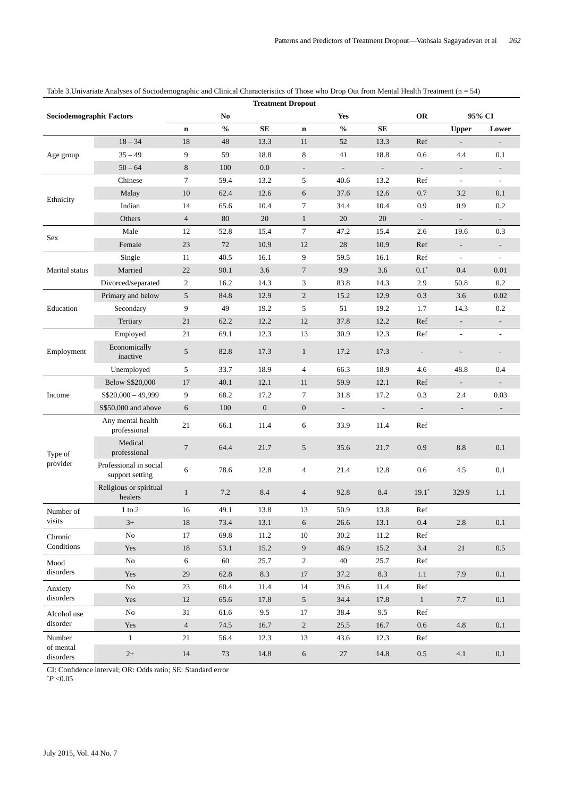|                                 |                                           |                |                | <b>Treatment Dropout</b> |                          |                                    |                          |                          |                          |                          |
|---------------------------------|-------------------------------------------|----------------|----------------|--------------------------|--------------------------|------------------------------------|--------------------------|--------------------------|--------------------------|--------------------------|
| <b>Sociodemographic Factors</b> |                                           |                | N <sub>0</sub> |                          |                          | Yes                                |                          | <b>OR</b>                |                          | 95% CI                   |
|                                 |                                           | $\mathbf n$    | $\frac{0}{0}$  | SE                       | $\mathbf n$              | $\mathbf{0}_{\mathbf{0}}^{\prime}$ | ${\bf SE}$               |                          | <b>Upper</b>             | Lower                    |
| Age group                       | $18 - 34$                                 | 18             | 48             | 13.3                     | 11                       | 52                                 | 13.3                     | Ref                      | $\overline{\phantom{a}}$ |                          |
|                                 | $35 - 49$                                 | 9              | 59             | 18.8                     | 8                        | 41                                 | 18.8                     | 0.6                      | 4.4                      | 0.1                      |
|                                 | $50 - 64$                                 | $\,8\,$        | 100            | 0.0                      | $\overline{\phantom{a}}$ | $\blacksquare$                     | $\blacksquare$           | $\overline{\phantom{a}}$ | $\overline{\phantom{a}}$ |                          |
|                                 | Chinese                                   | $\tau$         | 59.4           | 13.2                     | 5                        | 40.6                               | 13.2                     | Ref                      | $\overline{\phantom{a}}$ | $\overline{\phantom{a}}$ |
|                                 | Malay                                     | 10             | 62.4           | 12.6                     | 6                        | 37.6                               | 12.6                     | 0.7                      | 3.2                      | 0.1                      |
| Ethnicity                       | Indian                                    | 14             | 65.6           | 10.4                     | 7                        | 34.4                               | 10.4                     | 0.9                      | 0.9                      | 0.2                      |
|                                 | Others                                    | $\overline{4}$ | 80             | 20                       | $\mathbf{1}$             | 20                                 | 20                       | $\overline{\phantom{a}}$ | $\overline{\phantom{a}}$ | $\overline{\phantom{a}}$ |
|                                 | Male                                      | 12             | 52.8           | 15.4                     | $\tau$                   | 47.2                               | 15.4                     | 2.6                      | 19.6                     | 0.3                      |
| Sex                             | Female                                    | 23             | 72             | 10.9                     | 12                       | $28\,$                             | 10.9                     | Ref                      | $\overline{\phantom{a}}$ | $\overline{\phantom{a}}$ |
| Marital status                  | Single                                    | 11             | 40.5           | 16.1                     | 9                        | 59.5                               | 16.1                     | Ref                      | $\overline{\phantom{a}}$ |                          |
|                                 | Married                                   | 22             | 90.1           | 3.6                      | $\tau$                   | 9.9                                | 3.6                      | $0.1^\ast$               | 0.4                      | 0.01                     |
|                                 | Divorced/separated                        | 2              | 16.2           | 14.3                     | 3                        | 83.8                               | 14.3                     | 2.9                      | 50.8                     | 0.2                      |
| Education                       | Primary and below                         | $\sqrt{5}$     | 84.8           | 12.9                     | $\overline{2}$           | 15.2                               | 12.9                     | 0.3                      | 3.6                      | 0.02                     |
|                                 | Secondary                                 | 9              | 49             | 19.2                     | 5                        | 51                                 | 19.2                     | 1.7                      | 14.3                     | 0.2                      |
|                                 | Tertiary                                  | 21             | 62.2           | 12.2                     | 12                       | 37.8                               | 12.2                     | Ref                      | $\overline{\phantom{a}}$ | $\overline{\phantom{a}}$ |
| Employment                      | Employed                                  | 21             | 69.1           | 12.3                     | 13                       | 30.9                               | 12.3                     | Ref                      | $\blacksquare$           |                          |
|                                 | Economically<br>inactive                  | 5              | 82.8           | 17.3                     | $\mathbf{1}$             | 17.2                               | 17.3                     | $\overline{\phantom{a}}$ |                          |                          |
|                                 | Unemployed                                | 5              | 33.7           | 18.9                     | $\overline{4}$           | 66.3                               | 18.9                     | 4.6                      | 48.8                     | 0.4                      |
|                                 | <b>Below S\$20,000</b>                    | 17             | 40.1           | 12.1                     | 11                       | 59.9                               | 12.1                     | Ref                      | $\overline{\phantom{a}}$ |                          |
| Income                          | $S$20,000 - 49,999$                       | 9              | 68.2           | 17.2                     | 7                        | 31.8                               | 17.2                     | 0.3                      | 2.4                      | 0.03                     |
|                                 | S\$50,000 and above                       | 6              | 100            | $\mathbf{0}$             | $\boldsymbol{0}$         | $\overline{\phantom{a}}$           | $\overline{\phantom{a}}$ | $\overline{\phantom{a}}$ |                          |                          |
|                                 | Any mental health<br>professional         | 21             | 66.1           | 11.4                     | 6                        | 33.9                               | 11.4                     | Ref                      |                          |                          |
| Type of<br>provider             | Medical<br>professional                   | $\tau$         | 64.4           | 21.7                     | 5                        | 35.6                               | 21.7                     | 0.9                      | 8.8                      | 0.1                      |
|                                 | Professional in social<br>support setting | 6              | 78.6           | 12.8                     | 4                        | 21.4                               | 12.8                     | 0.6                      | 4.5                      | 0.1                      |
|                                 | Religious or spiritual<br>healers         | $\mathbf{1}$   | 7.2            | 8.4                      | $\overline{4}$           | 92.8                               | 8.4                      | $19.1*$                  | 329.9                    | 1.1                      |
| Number of<br>visits             | $1$ to $2$                                | 16             | 49.1           | 13.8                     | 13                       | 50.9                               | 13.8                     | Ref                      |                          |                          |
|                                 | $3+$                                      | $18\,$         | 73.4           | 13.1                     | 6                        | 26.6                               | 13.1                     | $0.4\,$                  | $2.8\,$                  | 0.1                      |
| Chronic                         | No                                        | 17             | 69.8           | 11.2                     | 10                       | 30.2                               | 11.2                     | Ref                      |                          |                          |
| Conditions                      | Yes                                       | 18             | 53.1           | 15.2                     | 9                        | 46.9                               | 15.2                     | $3.4\,$                  | 21                       | 0.5                      |
| Mood                            | $\rm No$                                  | 6              | 60             | 25.7                     | $\overline{c}$           | 40                                 | 25.7                     | Ref                      |                          |                          |
| disorders                       | Yes                                       | 29             | 62.8           | 8.3                      | 17                       | 37.2                               | 8.3                      | 1.1                      | 7.9                      | 0.1                      |
| Anxiety                         | No                                        | 23             | 60.4           | 11.4                     | 14                       | 39.6                               | 11.4                     | Ref                      |                          |                          |
| disorders                       | Yes                                       | 12             | 65.6           | 17.8                     | 5                        | 34.4                               | 17.8                     | $\mathbf{1}$             | 7.7                      | 0.1                      |
| Alcohol use                     | $\rm No$                                  | 31             | 61.6           | 9.5                      | 17                       | 38.4                               | 9.5                      | Ref                      |                          |                          |
| disorder                        | Yes                                       | $\overline{4}$ | 74.5           | 16.7                     | $\overline{c}$           | 25.5                               | 16.7                     | 0.6                      | 4.8                      | 0.1                      |
| Number                          | $\mathbf{1}$                              | 21             | 56.4           | 12.3                     | 13                       | 43.6                               | 12.3                     | Ref                      |                          |                          |
| of mental<br>$disorders$        | $2+$                                      | 14             | 73             | 14.8                     | $\sqrt{6}$               | 27                                 | 14.8                     | $0.5\,$                  | 4.1                      | $0.1\,$                  |

# Table 3.Univariate Analyses of Sociodemographic and Clinical Characteristics of Those who Drop Out from Mental Health Treatment (n = 54)

CI: Confidence interval; OR: Odds ratio; SE: Standard error

\* *P* <0.05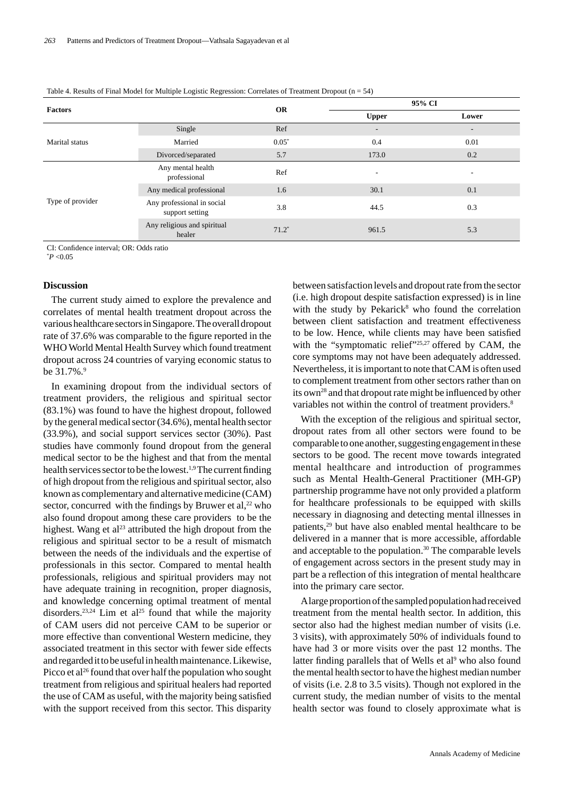|  | Table 4. Results of Final Model for Multiple Logistic Regression: Correlates of Treatment Dropout $(n = 54)$ |
|--|--------------------------------------------------------------------------------------------------------------|
|  |                                                                                                              |

|                  |                                               |           | 95% CI                   |                          |
|------------------|-----------------------------------------------|-----------|--------------------------|--------------------------|
| <b>Factors</b>   |                                               | <b>OR</b> | <b>Upper</b>             | Lower                    |
|                  | Single                                        | Ref       | $\overline{\phantom{a}}$ | $\overline{\phantom{a}}$ |
| Marital status   | Married                                       | $0.05*$   | 0.4                      | 0.01                     |
|                  | Divorced/separated                            | 5.7       | 173.0                    | 0.2                      |
|                  | Any mental health<br>professional             | Ref       | ۰.                       | ۰                        |
|                  | Any medical professional                      | 1.6       | 30.1                     | 0.1                      |
| Type of provider | Any professional in social<br>support setting | 3.8       | 44.5                     | 0.3                      |
|                  | Any religious and spiritual<br>healer         | $71.2*$   | 961.5                    | 5.3                      |

CI: Confidence interval: OR: Odds ratio

\* *P* <0.05

#### **Discussion**

The current study aimed to explore the prevalence and correlates of mental health treatment dropout across the various healthcare sectors in Singapore. The overall dropout rate of 37.6% was comparable to the figure reported in the WHO World Mental Health Survey which found treatment dropout across 24 countries of varying economic status to be 31.7%.<sup>9</sup>

In examining dropout from the individual sectors of treatment providers, the religious and spiritual sector (83.1%) was found to have the highest dropout, followed by the general medical sector (34.6%), mental health sector (33.9%), and social support services sector (30%). Past studies have commonly found dropout from the general medical sector to be the highest and that from the mental health services sector to be the lowest.<sup>1,9</sup> The current finding of high dropout from the religious and spiritual sector, also known as complementary and alternative medicine (CAM) sector, concurred with the findings by Bruwer et al, $^{22}$  who also found dropout among these care providers to be the highest. Wang et al<sup>23</sup> attributed the high dropout from the religious and spiritual sector to be a result of mismatch between the needs of the individuals and the expertise of professionals in this sector. Compared to mental health professionals, religious and spiritual providers may not have adequate training in recognition, proper diagnosis, and knowledge concerning optimal treatment of mental disorders.<sup>23,24</sup> Lim et al<sup>25</sup> found that while the majority of CAM users did not perceive CAM to be superior or more effective than conventional Western medicine, they associated treatment in this sector with fewer side effects and regarded it to be useful in health maintenance. Likewise, Picco et al<sup>26</sup> found that over half the population who sought treatment from religious and spiritual healers had reported the use of CAM as useful, with the majority being satisfied with the support received from this sector. This disparity

between satisfaction levels and dropout rate from the sector (i.e. high dropout despite satisfaction expressed) is in line with the study by Pekarick $8$  who found the correlation between client satisfaction and treatment effectiveness to be low. Hence, while clients may have been satisfied with the "symptomatic relief"<sup>25,27</sup> offered by CAM, the core symptoms may not have been adequately addressed. Nevertheless, it is important to note that CAM is often used to complement treatment from other sectors rather than on its own<sup>28</sup> and that dropout rate might be influenced by other variables not within the control of treatment providers.<sup>8</sup>

With the exception of the religious and spiritual sector, dropout rates from all other sectors were found to be comparable to one another, suggesting engagement in these sectors to be good. The recent move towards integrated mental healthcare and introduction of programmes such as Mental Health-General Practitioner (MH-GP) partnership programme have not only provided a platform for healthcare professionals to be equipped with skills necessary in diagnosing and detecting mental illnesses in patients,<sup>29</sup> but have also enabled mental healthcare to be delivered in a manner that is more accessible, affordable and acceptable to the population.<sup>30</sup> The comparable levels of engagement across sectors in the present study may in part be a reflection of this integration of mental healthcare into the primary care sector.

A large proportion of the sampled population had received treatment from the mental health sector. In addition, this sector also had the highest median number of visits (i.e. 3 visits), with approximately 50% of individuals found to have had 3 or more visits over the past 12 months. The latter finding parallels that of Wells et al<sup>9</sup> who also found the mental health sector to have the highest median number of visits (i.e. 2.8 to 3.5 visits). Though not explored in the current study, the median number of visits to the mental health sector was found to closely approximate what is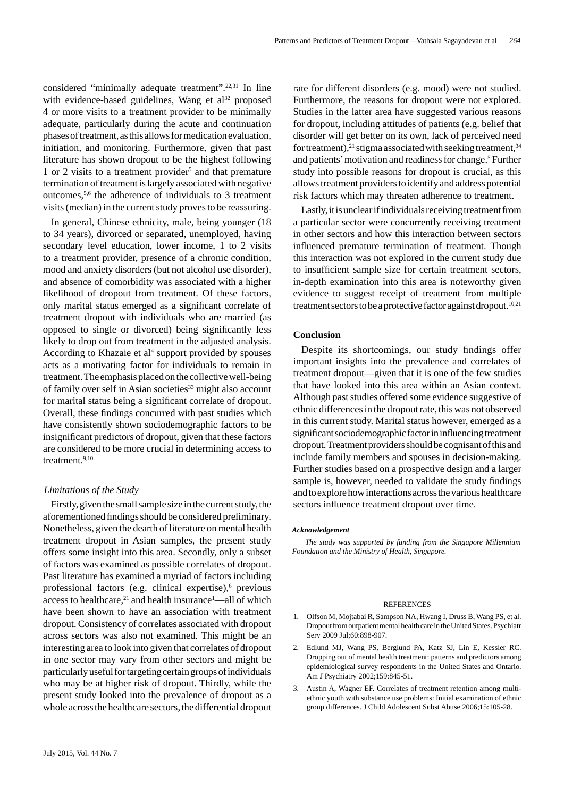considered "minimally adequate treatment".<sup>22,31</sup> In line with evidence-based guidelines, Wang et  $al^{32}$  proposed 4 or more visits to a treatment provider to be minimally adequate, particularly during the acute and continuation phases of treatment, as this allows for medication evaluation, initiation, and monitoring. Furthermore, given that past literature has shown dropout to be the highest following 1 or 2 visits to a treatment provider<sup>9</sup> and that premature termination of treatment is largely associated with negative outcomes,5,6 the adherence of individuals to 3 treatment visits (median) in the current study proves to be reassuring.

In general, Chinese ethnicity, male, being younger (18 to 34 years), divorced or separated, unemployed, having secondary level education, lower income, 1 to 2 visits to a treatment provider, presence of a chronic condition, mood and anxiety disorders (but not alcohol use disorder), and absence of comorbidity was associated with a higher likelihood of dropout from treatment. Of these factors, only marital status emerged as a significant correlate of treatment dropout with individuals who are married (as opposed to single or divorced) being significantly less likely to drop out from treatment in the adjusted analysis. According to Khazaie et al<sup>4</sup> support provided by spouses acts as a motivating factor for individuals to remain in treatment. The emphasis placed on the collective well-being of family over self in Asian societies<sup>33</sup> might also account for marital status being a significant correlate of dropout. Overall, these findings concurred with past studies which have consistently shown sociodemographic factors to be insignificant predictors of dropout, given that these factors are considered to be more crucial in determining access to treatment.<sup>9,10</sup>

#### *Limitations of the Study*

Firstly, given the small sample size in the current study, the aforementioned findings should be considered preliminary. Nonetheless, given the dearth of literature on mental health treatment dropout in Asian samples, the present study offers some insight into this area. Secondly, only a subset of factors was examined as possible correlates of dropout. Past literature has examined a myriad of factors including professional factors (e.g. clinical expertise),<sup>6</sup> previous access to healthcare,<sup>21</sup> and health insurance<sup>1</sup>—all of which have been shown to have an association with treatment dropout. Consistency of correlates associated with dropout across sectors was also not examined. This might be an interesting area to look into given that correlates of dropout in one sector may vary from other sectors and might be particularly useful for targeting certain groups of individuals who may be at higher risk of dropout. Thirdly, while the present study looked into the prevalence of dropout as a whole across the healthcare sectors, the differential dropout rate for different disorders (e.g. mood) were not studied. Furthermore, the reasons for dropout were not explored. Studies in the latter area have suggested various reasons for dropout, including attitudes of patients (e.g. belief that disorder will get better on its own, lack of perceived need for treatment),<sup>21</sup> stigma associated with seeking treatment,<sup>34</sup> and patients' motivation and readiness for change.<sup>5</sup> Further study into possible reasons for dropout is crucial, as this allows treatment providers to identify and address potential risk factors which may threaten adherence to treatment.

Lastly, it is unclear if individuals receiving treatment from a particular sector were concurrently receiving treatment in other sectors and how this interaction between sectors influenced premature termination of treatment. Though this interaction was not explored in the current study due to insufficient sample size for certain treatment sectors, in-depth examination into this area is noteworthy given evidence to suggest receipt of treatment from multiple treatment sectors to be a protective factor against dropout.<sup>10,21</sup>

#### **Conclusion**

Despite its shortcomings, our study findings offer important insights into the prevalence and correlates of treatment dropout—given that it is one of the few studies that have looked into this area within an Asian context. Although past studies offered some evidence suggestive of ethnic differences in the dropout rate, this was not observed in this current study. Marital status however, emerged as a significant sociodemographic factor in influencing treatment dropout. Treatment providers should be cognisant of this and include family members and spouses in decision-making. Further studies based on a prospective design and a larger sample is, however, needed to validate the study findings and to explore how interactions across the various healthcare sectors influence treatment dropout over time.

#### *Acknowledgement*

*The study was supported by funding from the Singapore Millennium Foundation and the Ministry of Health, Singapore.* 

#### **REFERENCES**

- 1. Olfson M, Mojtabai R, Sampson NA, Hwang I, Druss B, Wang PS, et al. Dropout from outpatient mental health care in the United States. Psychiatr Serv 2009 Jul;60:898-907.
- 2. Edlund MJ, Wang PS, Berglund PA, Katz SJ, Lin E, Kessler RC. Dropping out of mental health treatment: patterns and predictors among epidemiological survey respondents in the United States and Ontario. Am J Psychiatry 2002;159:845-51.
- 3. Austin A, Wagner EF. Correlates of treatment retention among multiethnic youth with substance use problems: Initial examination of ethnic group differences. J Child Adolescent Subst Abuse 2006;15:105-28.